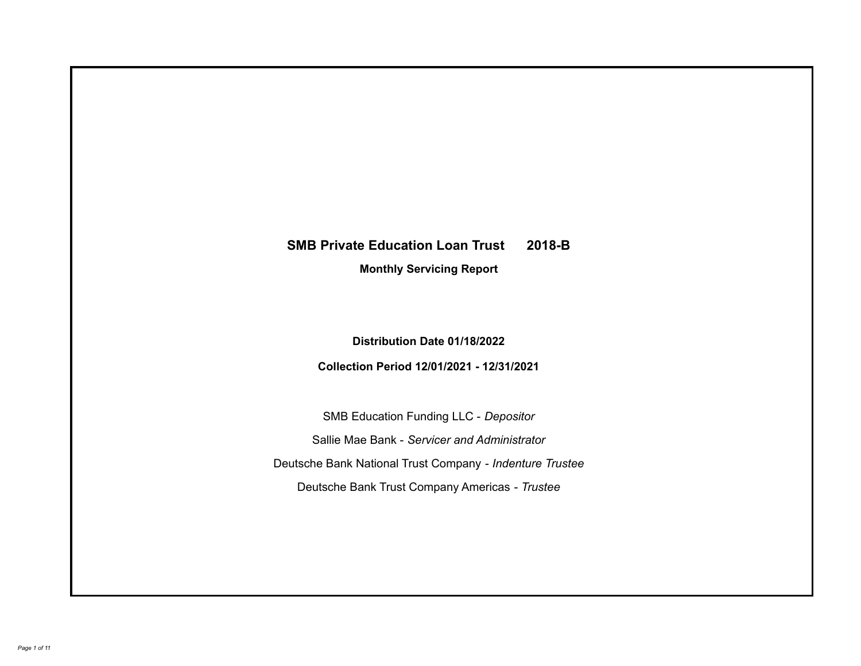# **SMB Private Education Loan Trust 2018-B**

**Monthly Servicing Report**

**Distribution Date 01/18/2022**

**Collection Period 12/01/2021 - 12/31/2021**

SMB Education Funding LLC - *Depositor* Sallie Mae Bank - *Servicer and Administrator* Deutsche Bank National Trust Company - *Indenture Trustee* Deutsche Bank Trust Company Americas - *Trustee*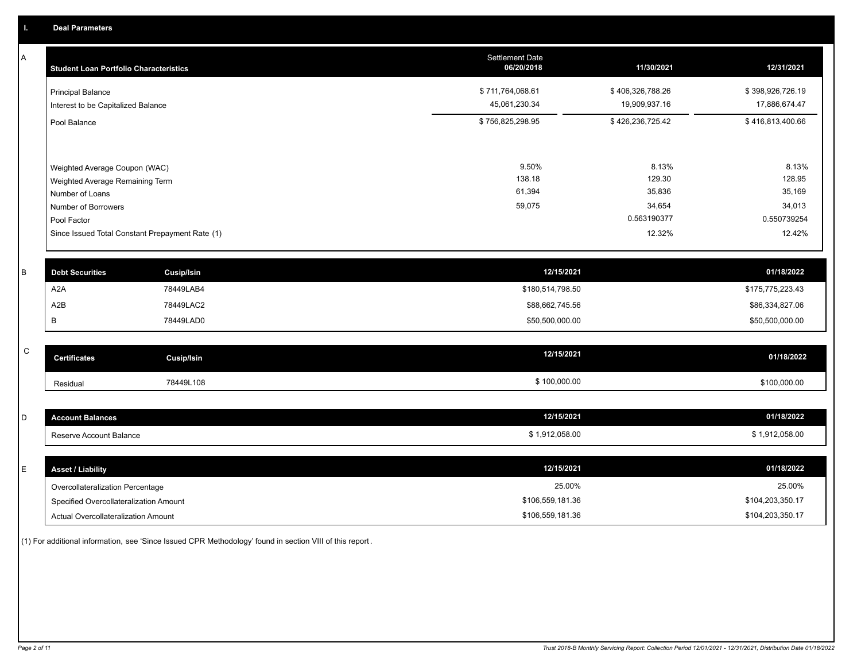A

| A | <b>Student Loan Portfolio Characteristics</b>                  |                                                 | Settlement Date<br>06/20/2018     | 11/30/2021                        | 12/31/2021                        |
|---|----------------------------------------------------------------|-------------------------------------------------|-----------------------------------|-----------------------------------|-----------------------------------|
|   | <b>Principal Balance</b><br>Interest to be Capitalized Balance |                                                 | \$711,764,068.61<br>45,061,230.34 | \$406,326,788.26<br>19,909,937.16 | \$398,926,726.19<br>17,886,674.47 |
|   | Pool Balance                                                   |                                                 | \$756,825,298.95                  | \$426,236,725.42                  | \$416,813,400.66                  |
|   | Weighted Average Coupon (WAC)                                  |                                                 | 9.50%                             | 8.13%                             | 8.13%                             |
|   | Weighted Average Remaining Term<br>Number of Loans             |                                                 | 138.18<br>61,394                  | 129.30<br>35,836                  | 128.95<br>35,169                  |
|   | Number of Borrowers<br>Pool Factor                             |                                                 | 59,075                            | 34,654<br>0.563190377             | 34,013<br>0.550739254             |
|   |                                                                | Since Issued Total Constant Prepayment Rate (1) |                                   | 12.32%                            | 12.42%                            |
|   |                                                                |                                                 |                                   |                                   |                                   |
| B | <b>Debt Securities</b>                                         | <b>Cusip/Isin</b>                               |                                   | 12/15/2021                        | 01/18/2022                        |
|   | A <sub>2</sub> A                                               | 78449LAB4                                       |                                   | \$180,514,798.50                  | \$175,775,223.43                  |
|   | A2B                                                            | 78449LAC2                                       |                                   | \$88,662,745.56                   | \$86,334,827.06                   |
|   | В                                                              | 78449LAD0                                       |                                   | \$50,500,000.00                   | \$50,500,000.00                   |

| $\sim$<br>◡ | <b>Certificates</b> | Cusip/Isin | 12/15/2021   | 01/18/2022   |
|-------------|---------------------|------------|--------------|--------------|
|             | Residual            | 78449L108  | \$100,000.00 | \$100,000.00 |

| $\sim$<br>ັ | t Balances<br>amuz<br>.       | 12/15/2021             | 01/18/2022   |
|-------------|-------------------------------|------------------------|--------------|
|             | erve Account Balance<br>Reser | 1,912,058.00<br>$\sim$ | 1.912.058.00 |

| <b>Asset / Liability</b>               | 12/15/2021       | 01/18/2022       |
|----------------------------------------|------------------|------------------|
| Overcollateralization Percentage       | 25.00%           | 25.00%           |
| Specified Overcollateralization Amount | \$106,559,181.36 | \$104,203,350.17 |
| Actual Overcollateralization Amount    | \$106,559,181.36 | \$104,203,350.17 |

(1) For additional information, see 'Since Issued CPR Methodology' found in section VIII of this report .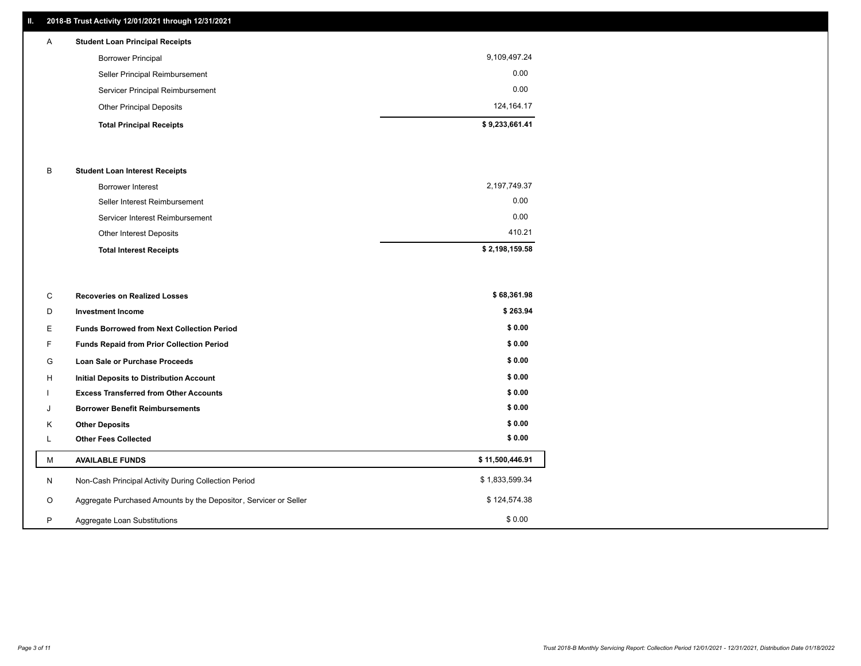# **II. 2018-B Trust Activity 12/01/2021 through 12/31/2021**

| $\mathsf{A}$ | <b>Student Loan Principal Receipts</b> |                |
|--------------|----------------------------------------|----------------|
|              | <b>Borrower Principal</b>              | 9,109,497.24   |
|              | Seller Principal Reimbursement         | 0.00           |
|              | Servicer Principal Reimbursement       | 0.00           |
|              | <b>Other Principal Deposits</b>        | 124, 164. 17   |
|              | <b>Total Principal Receipts</b>        | \$9,233,661.41 |

#### B **Student Loan Interest Receipts**

| <b>Total Interest Receipts</b>  | \$2,198,159.58 |
|---------------------------------|----------------|
| <b>Other Interest Deposits</b>  | 410.21         |
| Servicer Interest Reimbursement | 0.00           |
| Seller Interest Reimbursement   | 0.00           |
| Borrower Interest               | 2,197,749.37   |

| C       | <b>Recoveries on Realized Losses</b>                             | \$68,361.98     |
|---------|------------------------------------------------------------------|-----------------|
| D       | <b>Investment Income</b>                                         | \$263.94        |
| Е.      | <b>Funds Borrowed from Next Collection Period</b>                | \$0.00          |
| F.      | Funds Repaid from Prior Collection Period                        | \$0.00          |
| G       | Loan Sale or Purchase Proceeds                                   | \$0.00          |
| H       | Initial Deposits to Distribution Account                         | \$0.00          |
|         | <b>Excess Transferred from Other Accounts</b>                    | \$0.00          |
| J       | <b>Borrower Benefit Reimbursements</b>                           | \$0.00          |
| Κ       | <b>Other Deposits</b>                                            | \$0.00          |
|         | <b>Other Fees Collected</b>                                      | \$0.00          |
| М       | <b>AVAILABLE FUNDS</b>                                           | \$11,500,446.91 |
| N       | Non-Cash Principal Activity During Collection Period             | \$1,833,599.34  |
| $\circ$ | Aggregate Purchased Amounts by the Depositor, Servicer or Seller | \$124,574.38    |
| P       | Aggregate Loan Substitutions                                     | \$0.00          |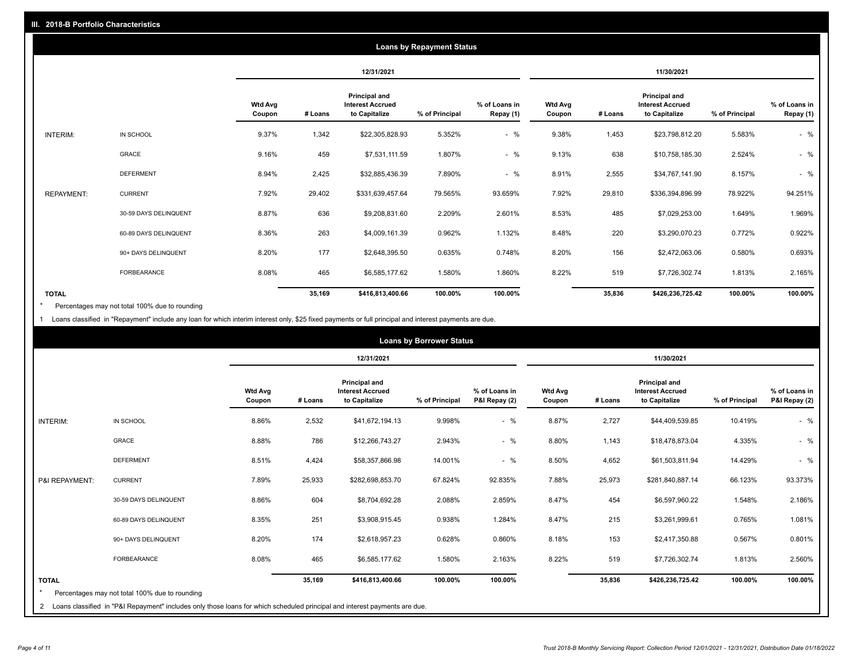|                   |                       | <b>Loans by Repayment Status</b> |         |                                                                  |                |                            |                          |         |                                                           |                |                            |
|-------------------|-----------------------|----------------------------------|---------|------------------------------------------------------------------|----------------|----------------------------|--------------------------|---------|-----------------------------------------------------------|----------------|----------------------------|
|                   |                       |                                  |         | 12/31/2021                                                       |                |                            |                          |         | 11/30/2021                                                |                |                            |
|                   |                       | <b>Wtd Avg</b><br>Coupon         | # Loans | <b>Principal and</b><br><b>Interest Accrued</b><br>to Capitalize | % of Principal | % of Loans in<br>Repay (1) | <b>Wtd Avg</b><br>Coupon | # Loans | Principal and<br><b>Interest Accrued</b><br>to Capitalize | % of Principal | % of Loans in<br>Repay (1) |
| INTERIM:          | IN SCHOOL             | 9.37%                            | 1,342   | \$22,305,828.93                                                  | 5.352%         | $-$ %                      | 9.38%                    | 1,453   | \$23,798,812.20                                           | 5.583%         | $-$ %                      |
|                   | <b>GRACE</b>          | 9.16%                            | 459     | \$7,531,111.59                                                   | 1.807%         | $-$ %                      | 9.13%                    | 638     | \$10,758,185.30                                           | 2.524%         | $-$ %                      |
|                   | <b>DEFERMENT</b>      | 8.94%                            | 2,425   | \$32,885,436.39                                                  | 7.890%         | $-$ %                      | 8.91%                    | 2,555   | \$34,767,141.90                                           | 8.157%         | $-$ %                      |
| <b>REPAYMENT:</b> | <b>CURRENT</b>        | 7.92%                            | 29,402  | \$331,639,457.64                                                 | 79.565%        | 93.659%                    | 7.92%                    | 29,810  | \$336,394,896.99                                          | 78.922%        | 94.251%                    |
|                   | 30-59 DAYS DELINQUENT | 8.87%                            | 636     | \$9,208,831.60                                                   | 2.209%         | 2.601%                     | 8.53%                    | 485     | \$7,029,253.00                                            | 1.649%         | 1.969%                     |
|                   | 60-89 DAYS DELINQUENT | 8.36%                            | 263     | \$4,009,161.39                                                   | 0.962%         | 1.132%                     | 8.48%                    | 220     | \$3,290,070.23                                            | 0.772%         | 0.922%                     |
|                   | 90+ DAYS DELINQUENT   | 8.20%                            | 177     | \$2,648,395.50                                                   | 0.635%         | 0.748%                     | 8.20%                    | 156     | \$2,472,063.06                                            | 0.580%         | 0.693%                     |
|                   | <b>FORBEARANCE</b>    | 8.08%                            | 465     | \$6,585,177.62                                                   | 1.580%         | 1.860%                     | 8.22%                    | 519     | \$7,726,302.74                                            | 1.813%         | 2.165%                     |
| <b>TOTAL</b>      |                       |                                  | 35,169  | \$416,813,400.66                                                 | 100.00%        | 100.00%                    |                          | 35,836  | \$426,236,725.42                                          | 100.00%        | 100.00%                    |

Percentages may not total 100% due to rounding \*

1 Loans classified in "Repayment" include any loan for which interim interest only, \$25 fixed payments or full principal and interest payments are due.

| 12/31/2021<br>11/30/2021<br><b>Principal and</b><br><b>Principal and</b><br><b>Wtd Avg</b><br>% of Loans in<br><b>Interest Accrued</b><br><b>Wtd Avg</b><br><b>Interest Accrued</b><br># Loans<br>to Capitalize<br>% of Principal<br>P&I Repay (2)<br>to Capitalize<br>% of Principal<br>Coupon<br># Loans<br>Coupon<br>$-$ %<br>8.86%<br>8.87%<br>INTERIM:<br>IN SCHOOL<br>2,532<br>\$41,672,194.13<br>9.998%<br>2,727<br>\$44,409,539.85<br>10.419%<br>8.88%<br>786<br>$-$ %<br>8.80%<br>4.335%<br>GRACE<br>2.943%<br>1,143<br>\$18,478,873.04<br>\$12,266,743.27<br>8.51%<br>4,424<br>14.001%<br>$-$ %<br>8.50%<br>4,652<br>14.429%<br>\$58,357,866.98<br>\$61,503,811.94<br><b>DEFERMENT</b><br>7.89%<br>7.88%<br>25,933<br>67.824%<br>92.835%<br>25,973<br>66.123%<br><b>CURRENT</b><br>\$282,698,853.70<br>\$281,840,887.14<br>P&I REPAYMENT:<br>8.86%<br>604<br>2.859%<br>8.47%<br>454<br>1.548%<br>\$8,704,692.28<br>2.088%<br>\$6,597,960.22<br>30-59 DAYS DELINQUENT<br>8.35%<br>251<br>0.938%<br>8.47%<br>215<br>0.765%<br>60-89 DAYS DELINQUENT<br>\$3,908,915.45<br>1.284%<br>\$3,261,999.61<br>8.20%<br>174<br>0.628%<br>0.860%<br>8.18%<br>153<br>\$2,417,350.88<br>0.567%<br>\$2,618,957.23<br>90+ DAYS DELINQUENT<br>8.08%<br>8.22%<br>519<br>465<br>1.580%<br>2.163%<br>1.813%<br>\$6,585,177.62<br>\$7,726,302.74<br><b>FORBEARANCE</b><br>100.00%<br>35,169<br>100.00%<br>35,836<br>100.00%<br><b>TOTAL</b><br>\$416,813,400.66<br>\$426,236,725.42 | <b>Loans by Borrower Status</b> |  |  |  |  |  |  |  |  |  |  |                                |
|-------------------------------------------------------------------------------------------------------------------------------------------------------------------------------------------------------------------------------------------------------------------------------------------------------------------------------------------------------------------------------------------------------------------------------------------------------------------------------------------------------------------------------------------------------------------------------------------------------------------------------------------------------------------------------------------------------------------------------------------------------------------------------------------------------------------------------------------------------------------------------------------------------------------------------------------------------------------------------------------------------------------------------------------------------------------------------------------------------------------------------------------------------------------------------------------------------------------------------------------------------------------------------------------------------------------------------------------------------------------------------------------------------------------------------------------------------------------------|---------------------------------|--|--|--|--|--|--|--|--|--|--|--------------------------------|
|                                                                                                                                                                                                                                                                                                                                                                                                                                                                                                                                                                                                                                                                                                                                                                                                                                                                                                                                                                                                                                                                                                                                                                                                                                                                                                                                                                                                                                                                         |                                 |  |  |  |  |  |  |  |  |  |  |                                |
|                                                                                                                                                                                                                                                                                                                                                                                                                                                                                                                                                                                                                                                                                                                                                                                                                                                                                                                                                                                                                                                                                                                                                                                                                                                                                                                                                                                                                                                                         |                                 |  |  |  |  |  |  |  |  |  |  | % of Loans in<br>P&I Repay (2) |
|                                                                                                                                                                                                                                                                                                                                                                                                                                                                                                                                                                                                                                                                                                                                                                                                                                                                                                                                                                                                                                                                                                                                                                                                                                                                                                                                                                                                                                                                         |                                 |  |  |  |  |  |  |  |  |  |  | $-$ %                          |
|                                                                                                                                                                                                                                                                                                                                                                                                                                                                                                                                                                                                                                                                                                                                                                                                                                                                                                                                                                                                                                                                                                                                                                                                                                                                                                                                                                                                                                                                         |                                 |  |  |  |  |  |  |  |  |  |  | $-$ %                          |
|                                                                                                                                                                                                                                                                                                                                                                                                                                                                                                                                                                                                                                                                                                                                                                                                                                                                                                                                                                                                                                                                                                                                                                                                                                                                                                                                                                                                                                                                         |                                 |  |  |  |  |  |  |  |  |  |  | $-$ %                          |
|                                                                                                                                                                                                                                                                                                                                                                                                                                                                                                                                                                                                                                                                                                                                                                                                                                                                                                                                                                                                                                                                                                                                                                                                                                                                                                                                                                                                                                                                         |                                 |  |  |  |  |  |  |  |  |  |  | 93.373%                        |
|                                                                                                                                                                                                                                                                                                                                                                                                                                                                                                                                                                                                                                                                                                                                                                                                                                                                                                                                                                                                                                                                                                                                                                                                                                                                                                                                                                                                                                                                         |                                 |  |  |  |  |  |  |  |  |  |  | 2.186%                         |
|                                                                                                                                                                                                                                                                                                                                                                                                                                                                                                                                                                                                                                                                                                                                                                                                                                                                                                                                                                                                                                                                                                                                                                                                                                                                                                                                                                                                                                                                         |                                 |  |  |  |  |  |  |  |  |  |  | 1.081%                         |
|                                                                                                                                                                                                                                                                                                                                                                                                                                                                                                                                                                                                                                                                                                                                                                                                                                                                                                                                                                                                                                                                                                                                                                                                                                                                                                                                                                                                                                                                         |                                 |  |  |  |  |  |  |  |  |  |  | 0.801%                         |
|                                                                                                                                                                                                                                                                                                                                                                                                                                                                                                                                                                                                                                                                                                                                                                                                                                                                                                                                                                                                                                                                                                                                                                                                                                                                                                                                                                                                                                                                         |                                 |  |  |  |  |  |  |  |  |  |  | 2.560%                         |
| Percentages may not total 100% due to rounding<br>Loans classified in "P&I Repayment" includes only those loans for which scheduled principal and interest payments are due.<br>2                                                                                                                                                                                                                                                                                                                                                                                                                                                                                                                                                                                                                                                                                                                                                                                                                                                                                                                                                                                                                                                                                                                                                                                                                                                                                       |                                 |  |  |  |  |  |  |  |  |  |  | 100.00%                        |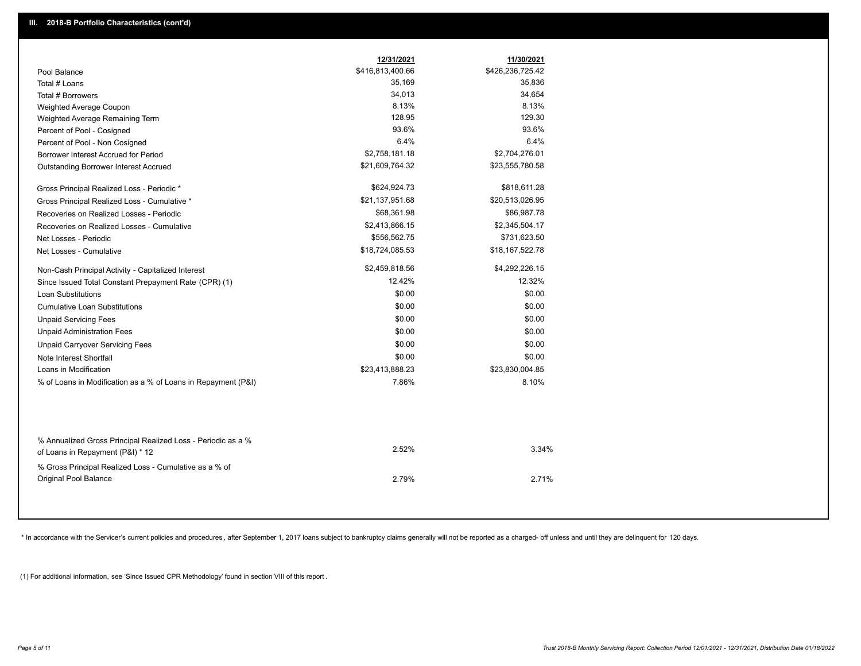|                                                                                        | 12/31/2021       | 11/30/2021       |  |
|----------------------------------------------------------------------------------------|------------------|------------------|--|
| Pool Balance                                                                           | \$416,813,400.66 | \$426,236,725.42 |  |
| Total # Loans                                                                          | 35,169           | 35,836           |  |
| Total # Borrowers                                                                      | 34,013           | 34,654           |  |
| Weighted Average Coupon                                                                | 8.13%            | 8.13%            |  |
| Weighted Average Remaining Term                                                        | 128.95           | 129.30           |  |
| Percent of Pool - Cosigned                                                             | 93.6%            | 93.6%            |  |
| Percent of Pool - Non Cosigned                                                         | 6.4%             | 6.4%             |  |
| Borrower Interest Accrued for Period                                                   | \$2,758,181.18   | \$2,704,276.01   |  |
| <b>Outstanding Borrower Interest Accrued</b>                                           | \$21,609,764.32  | \$23,555,780.58  |  |
| Gross Principal Realized Loss - Periodic *                                             | \$624,924.73     | \$818,611.28     |  |
| Gross Principal Realized Loss - Cumulative *                                           | \$21,137,951.68  | \$20,513,026.95  |  |
| Recoveries on Realized Losses - Periodic                                               | \$68,361.98      | \$86,987.78      |  |
| Recoveries on Realized Losses - Cumulative                                             | \$2,413,866.15   | \$2,345,504.17   |  |
| Net Losses - Periodic                                                                  | \$556,562.75     | \$731,623.50     |  |
| Net Losses - Cumulative                                                                | \$18,724,085.53  | \$18,167,522.78  |  |
| Non-Cash Principal Activity - Capitalized Interest                                     | \$2,459,818.56   | \$4,292,226.15   |  |
| Since Issued Total Constant Prepayment Rate (CPR) (1)                                  | 12.42%           | 12.32%           |  |
| <b>Loan Substitutions</b>                                                              | \$0.00           | \$0.00           |  |
| <b>Cumulative Loan Substitutions</b>                                                   | \$0.00           | \$0.00           |  |
| <b>Unpaid Servicing Fees</b>                                                           | \$0.00           | \$0.00           |  |
| <b>Unpaid Administration Fees</b>                                                      | \$0.00           | \$0.00           |  |
| <b>Unpaid Carryover Servicing Fees</b>                                                 | \$0.00           | \$0.00           |  |
| Note Interest Shortfall                                                                | \$0.00           | \$0.00           |  |
| Loans in Modification                                                                  | \$23,413,888.23  | \$23,830,004.85  |  |
| % of Loans in Modification as a % of Loans in Repayment (P&I)                          | 7.86%            | 8.10%            |  |
| % Annualized Gross Principal Realized Loss - Periodic as a %                           |                  |                  |  |
| of Loans in Repayment (P&I) * 12                                                       | 2.52%            | 3.34%            |  |
| % Gross Principal Realized Loss - Cumulative as a % of<br><b>Original Pool Balance</b> | 2.79%            | 2.71%            |  |

\* In accordance with the Servicer's current policies and procedures, after September 1, 2017 loans subject to bankruptcy claims generally will not be reported as a charged- off unless and until they are delinquent for 120

(1) For additional information, see 'Since Issued CPR Methodology' found in section VIII of this report .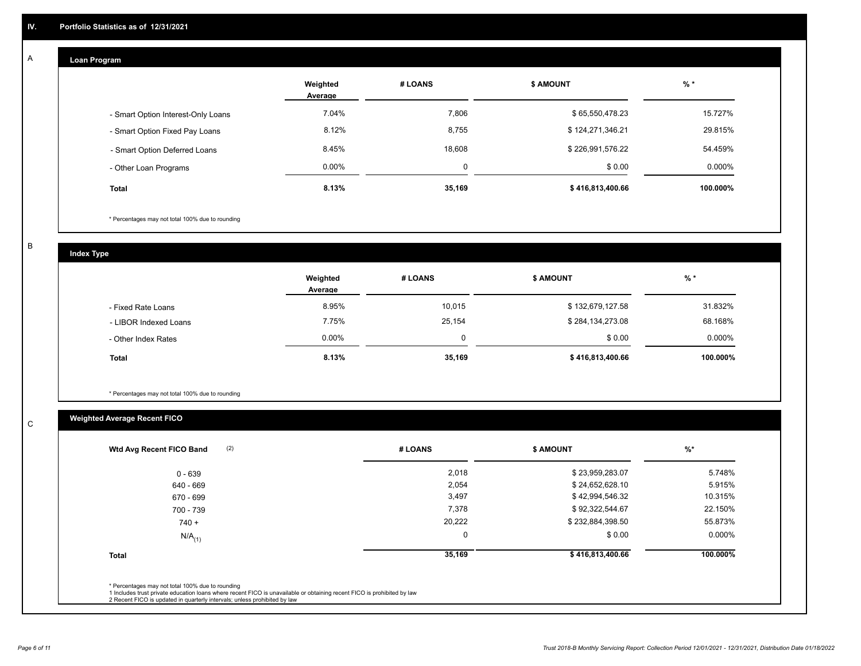#### **Loan Program**  A

|                                    | Weighted<br>Average | # LOANS | <b>\$ AMOUNT</b> | $%$ *    |
|------------------------------------|---------------------|---------|------------------|----------|
| - Smart Option Interest-Only Loans | 7.04%               | 7,806   | \$65,550,478.23  | 15.727%  |
| - Smart Option Fixed Pay Loans     | 8.12%               | 8,755   | \$124,271,346.21 | 29.815%  |
| - Smart Option Deferred Loans      | 8.45%               | 18,608  | \$226,991,576.22 | 54.459%  |
| - Other Loan Programs              | $0.00\%$            | 0       | \$0.00           | 0.000%   |
| <b>Total</b>                       | 8.13%               | 35,169  | \$416,813,400.66 | 100.000% |

\* Percentages may not total 100% due to rounding

B

C

**Index Type**

|                       | Weighted<br>Average | # LOANS | <b>\$ AMOUNT</b> | $%$ *     |
|-----------------------|---------------------|---------|------------------|-----------|
| - Fixed Rate Loans    | 8.95%               | 10,015  | \$132,679,127.58 | 31.832%   |
| - LIBOR Indexed Loans | 7.75%               | 25,154  | \$284,134,273.08 | 68.168%   |
| - Other Index Rates   | $0.00\%$            | 0       | \$0.00           | $0.000\%$ |
| <b>Total</b>          | 8.13%               | 35,169  | \$416,813,400.66 | 100.000%  |

\* Percentages may not total 100% due to rounding

# **Weighted Average Recent FICO**

| (2)<br>Wtd Avg Recent FICO Band | # LOANS     | <b>\$ AMOUNT</b> | $%$ *    |
|---------------------------------|-------------|------------------|----------|
| $0 - 639$                       | 2,018       | \$23,959,283.07  | 5.748%   |
| 640 - 669                       | 2,054       | \$24,652,628.10  | 5.915%   |
| 670 - 699                       | 3,497       | \$42,994,546.32  | 10.315%  |
| 700 - 739                       | 7,378       | \$92,322,544.67  | 22.150%  |
| $740 +$                         | 20,222      | \$232,884,398.50 | 55.873%  |
| $N/A$ <sub>(1)</sub>            | $\mathbf 0$ | \$0.00           | 0.000%   |
| <b>Total</b>                    | 35,169      | \$416,813,400.66 | 100.000% |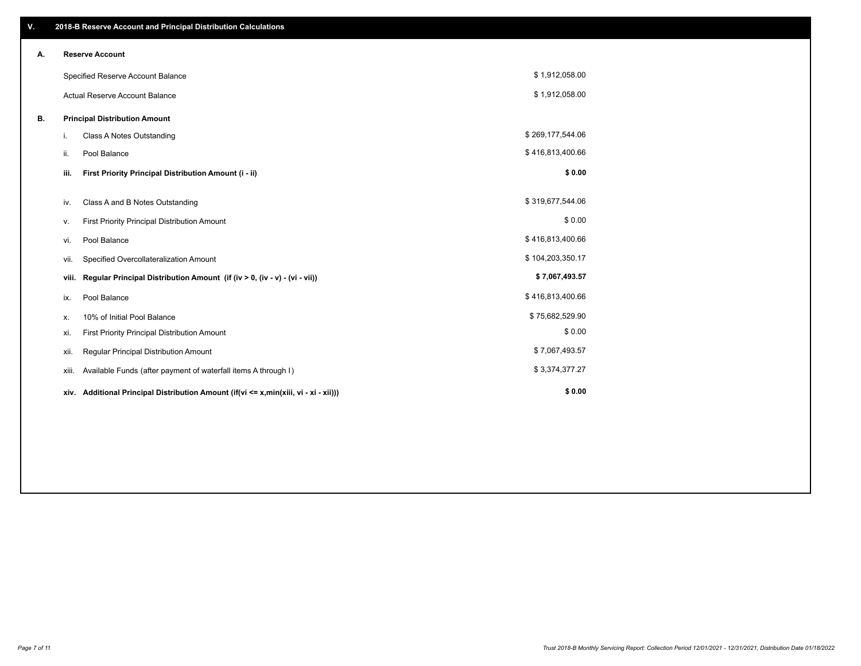| V. |                                      | 2018-B Reserve Account and Principal Distribution Calculations                       |                  |  |
|----|--------------------------------------|--------------------------------------------------------------------------------------|------------------|--|
| Α. |                                      | <b>Reserve Account</b>                                                               |                  |  |
|    |                                      | Specified Reserve Account Balance                                                    | \$1,912,058.00   |  |
|    |                                      | <b>Actual Reserve Account Balance</b>                                                | \$1,912,058.00   |  |
| В. | <b>Principal Distribution Amount</b> |                                                                                      |                  |  |
|    | i.                                   | Class A Notes Outstanding                                                            | \$269,177,544.06 |  |
|    | ii.                                  | Pool Balance                                                                         | \$416,813,400.66 |  |
|    | iii.                                 | First Priority Principal Distribution Amount (i - ii)                                | \$0.00           |  |
|    | iv.                                  | Class A and B Notes Outstanding                                                      | \$319,677,544.06 |  |
|    | ν.                                   | First Priority Principal Distribution Amount                                         | \$0.00           |  |
|    | vi.                                  | Pool Balance                                                                         | \$416,813,400.66 |  |
|    | vii.                                 | Specified Overcollateralization Amount                                               | \$104,203,350.17 |  |
|    | viii.                                | Regular Principal Distribution Amount (if (iv > 0, (iv - v) - (vi - vii))            | \$7,067,493.57   |  |
|    | ix.                                  | Pool Balance                                                                         | \$416,813,400.66 |  |
|    | х.                                   | 10% of Initial Pool Balance                                                          | \$75,682,529.90  |  |
|    | xi.                                  | First Priority Principal Distribution Amount                                         | \$0.00           |  |
|    | xii.                                 | Regular Principal Distribution Amount                                                | \$7,067,493.57   |  |
|    | xiii.                                | Available Funds (after payment of waterfall items A through I)                       | \$3,374,377.27   |  |
|    |                                      | xiv. Additional Principal Distribution Amount (if(vi <= x,min(xiii, vi - xi - xii))) | \$0.00           |  |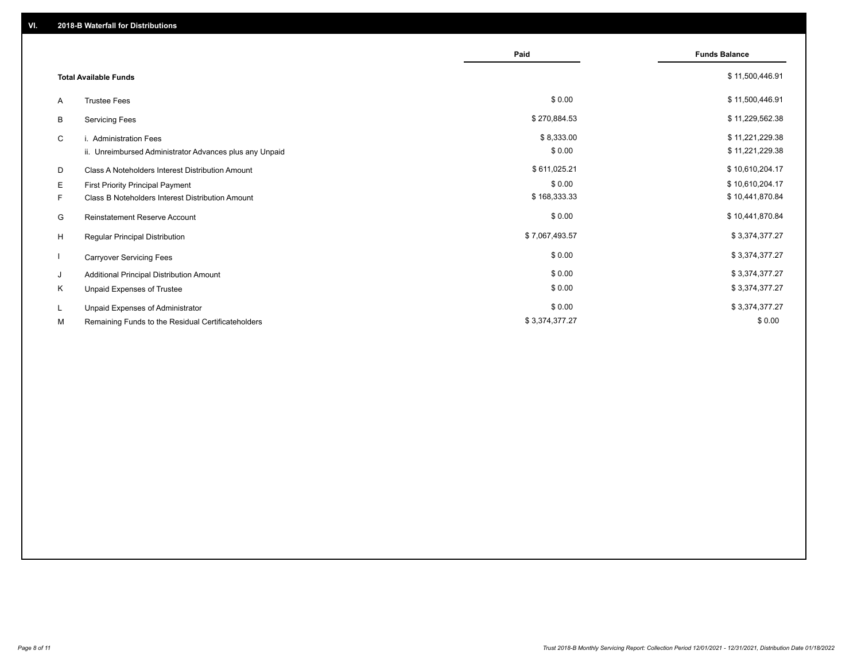|                              |                                                         | Paid           | <b>Funds Balance</b> |
|------------------------------|---------------------------------------------------------|----------------|----------------------|
| <b>Total Available Funds</b> |                                                         |                | \$11,500,446.91      |
| A                            | <b>Trustee Fees</b>                                     | \$0.00         | \$11,500,446.91      |
| B                            | <b>Servicing Fees</b>                                   | \$270,884.53   | \$11,229,562.38      |
| C                            | i. Administration Fees                                  | \$8,333.00     | \$11,221,229.38      |
|                              | ii. Unreimbursed Administrator Advances plus any Unpaid | \$0.00         | \$11,221,229.38      |
| D                            | <b>Class A Noteholders Interest Distribution Amount</b> | \$611,025.21   | \$10,610,204.17      |
| Е                            | First Priority Principal Payment                        | \$0.00         | \$10,610,204.17      |
| F.                           | Class B Noteholders Interest Distribution Amount        | \$168,333.33   | \$10,441,870.84      |
| G                            | <b>Reinstatement Reserve Account</b>                    | \$0.00         | \$10,441,870.84      |
| H                            | Regular Principal Distribution                          | \$7,067,493.57 | \$3,374,377.27       |
|                              | <b>Carryover Servicing Fees</b>                         | \$0.00         | \$3,374,377.27       |
| J                            | Additional Principal Distribution Amount                | \$0.00         | \$3,374,377.27       |
| Κ                            | Unpaid Expenses of Trustee                              | \$0.00         | \$3,374,377.27       |
| L                            | Unpaid Expenses of Administrator                        | \$0.00         | \$3,374,377.27       |
| М                            | Remaining Funds to the Residual Certificateholders      | \$3,374,377.27 | \$0.00               |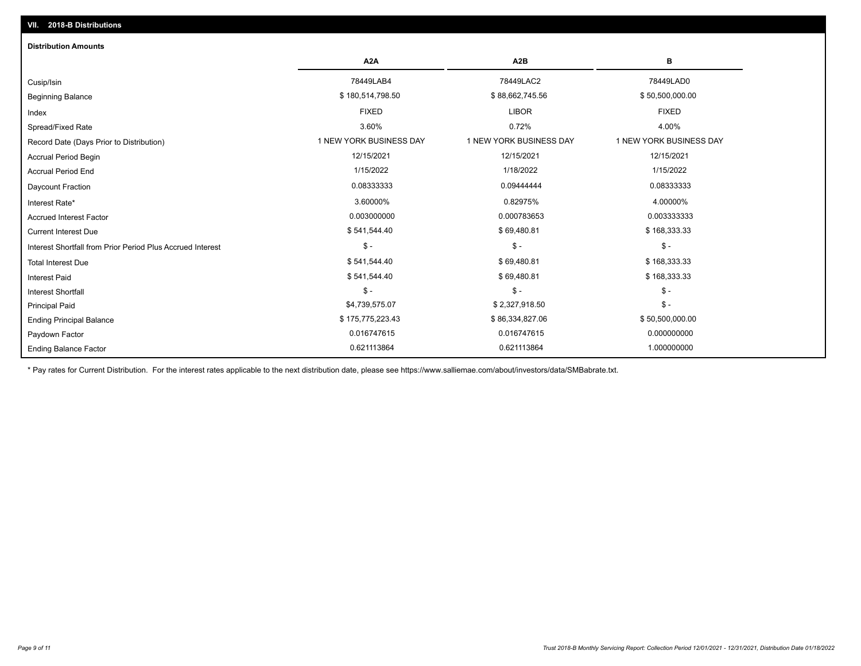| <b>Distribution Amounts</b>                                |                         |                         |                         |  |  |  |
|------------------------------------------------------------|-------------------------|-------------------------|-------------------------|--|--|--|
|                                                            | A <sub>2</sub> A        | A <sub>2</sub> B        | в                       |  |  |  |
| Cusip/Isin                                                 | 78449LAB4               | 78449LAC2               | 78449LAD0               |  |  |  |
| <b>Beginning Balance</b>                                   | \$180,514,798.50        | \$88,662,745.56         | \$50,500,000.00         |  |  |  |
| Index                                                      | <b>FIXED</b>            | <b>LIBOR</b>            | <b>FIXED</b>            |  |  |  |
| Spread/Fixed Rate                                          | 3.60%                   | 0.72%                   | 4.00%                   |  |  |  |
| Record Date (Days Prior to Distribution)                   | 1 NEW YORK BUSINESS DAY | 1 NEW YORK BUSINESS DAY | 1 NEW YORK BUSINESS DAY |  |  |  |
| Accrual Period Begin                                       | 12/15/2021              | 12/15/2021              | 12/15/2021              |  |  |  |
| <b>Accrual Period End</b>                                  | 1/15/2022               | 1/18/2022               | 1/15/2022               |  |  |  |
| Daycount Fraction                                          | 0.08333333              | 0.09444444              | 0.08333333              |  |  |  |
| Interest Rate*                                             | 3.60000%                | 0.82975%                | 4.00000%                |  |  |  |
| <b>Accrued Interest Factor</b>                             | 0.003000000             | 0.000783653             | 0.003333333             |  |  |  |
| <b>Current Interest Due</b>                                | \$541,544.40            | \$69,480.81             | \$168,333.33            |  |  |  |
| Interest Shortfall from Prior Period Plus Accrued Interest | $\mathsf{\$}$ -         | $\mathcal{S}$ -         | $\frac{1}{2}$           |  |  |  |
| <b>Total Interest Due</b>                                  | \$541,544.40            | \$69,480.81             | \$168,333.33            |  |  |  |
| <b>Interest Paid</b>                                       | \$541,544.40            | \$69,480.81             | \$168,333.33            |  |  |  |
| <b>Interest Shortfall</b>                                  | $$ -$                   | $\mathsf{\$}$ -         | $$ -$                   |  |  |  |
| <b>Principal Paid</b>                                      | \$4,739,575.07          | \$2,327,918.50          | $$ -$                   |  |  |  |
| <b>Ending Principal Balance</b>                            | \$175,775,223.43        | \$86,334,827.06         | \$50,500,000.00         |  |  |  |
| Paydown Factor                                             | 0.016747615             | 0.016747615             | 0.000000000             |  |  |  |
| <b>Ending Balance Factor</b>                               | 0.621113864             | 0.621113864             | 1.000000000             |  |  |  |

\* Pay rates for Current Distribution. For the interest rates applicable to the next distribution date, please see https://www.salliemae.com/about/investors/data/SMBabrate.txt.

**VII. 2018-B Distributions**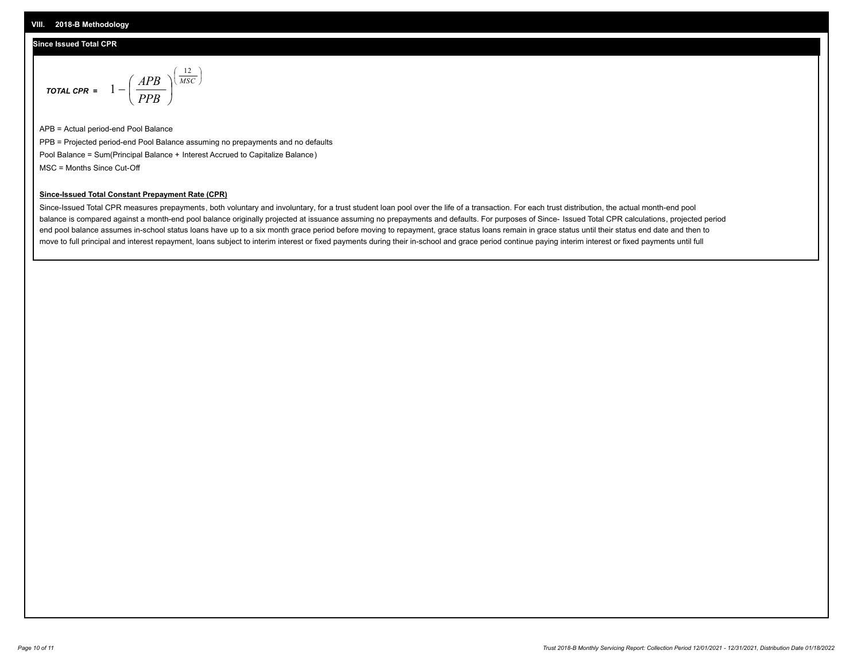### **Since Issued Total CPR**

$$
\text{total cPR} = 1 - \left(\frac{APB}{PPB}\right)^{\left(\frac{12}{MSC}\right)}
$$

APB = Actual period-end Pool Balance PPB = Projected period-end Pool Balance assuming no prepayments and no defaults Pool Balance = Sum(Principal Balance + Interest Accrued to Capitalize Balance) MSC = Months Since Cut-Off

I J Ι

#### **Since-Issued Total Constant Prepayment Rate (CPR)**

Since-Issued Total CPR measures prepayments, both voluntary and involuntary, for a trust student loan pool over the life of a transaction. For each trust distribution, the actual month-end pool balance is compared against a month-end pool balance originally projected at issuance assuming no prepayments and defaults. For purposes of Since- Issued Total CPR calculations, projected period end pool balance assumes in-school status loans have up to a six month grace period before moving to repayment, grace status loans remain in grace status until their status end date and then to move to full principal and interest repayment, loans subject to interim interest or fixed payments during their in-school and grace period continue paying interim interest or fixed payments until full